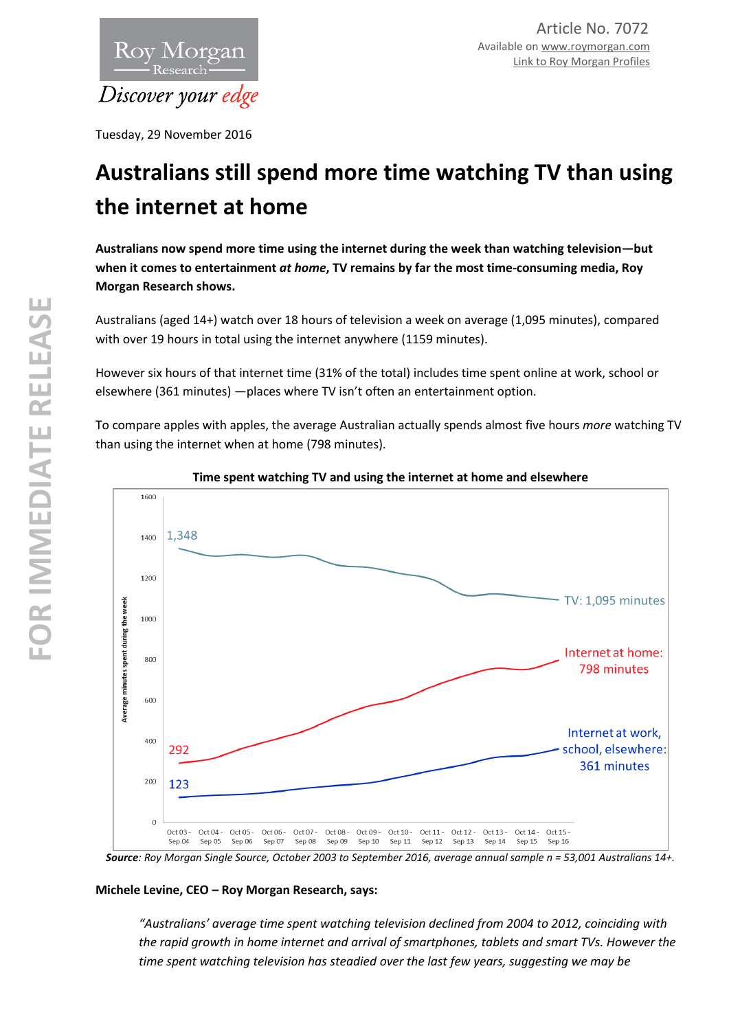

Tuesday, 29 November 2016

# **Australians still spend more time watching TV than using the internet at home**

**Australians now spend more time using the internet during the week than watching television—but when it comes to entertainment** *at home***, TV remains by far the most time-consuming media, Roy Morgan Research shows.** 

Australians (aged 14+) watch over 18 hours of television a week on average (1,095 minutes), compared with over 19 hours in total using the internet anywhere (1159 minutes).

However six hours of that internet time (31% of the total) includes time spent online at work, school or elsewhere (361 minutes) —places where TV isn't often an entertainment option.

To compare apples with apples, the average Australian actually spends almost five hours *more* watching TV than using the internet when at home (798 minutes).



## **Time spent watching TV and using the internet at home and elsewhere**

## **Michele Levine, CEO – Roy Morgan Research, says:**

*"Australians' average time spent watching television declined from 2004 to 2012, coinciding with the rapid growth in home internet and arrival of smartphones, tablets and smart TVs. However the time spent watching television has steadied over the last few years, suggesting we may be* 

*Source: Roy Morgan Single Source, October 2003 to September 2016, average annual sample n = 53,001 Australians 14+.*